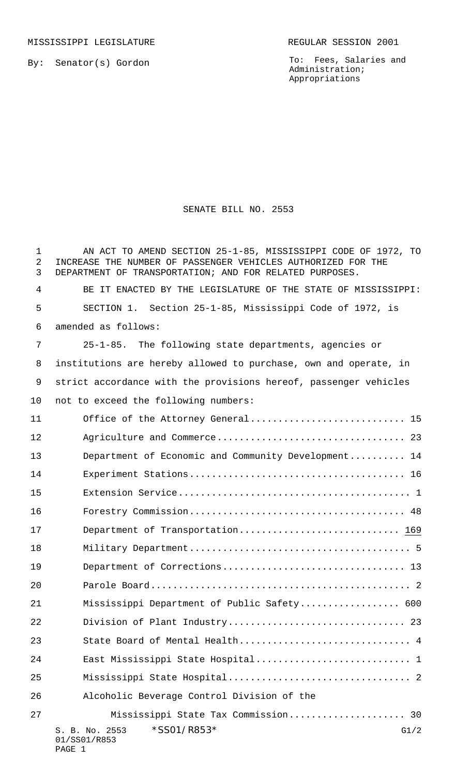By: Senator(s) Gordon

To: Fees, Salaries and Administration; Appropriations

## SENATE BILL NO. 2553

| 1<br>$\overline{2}$<br>3 | AN ACT TO AMEND SECTION 25-1-85, MISSISSIPPI CODE OF 1972, TO<br>INCREASE THE NUMBER OF PASSENGER VEHICLES AUTHORIZED FOR THE<br>DEPARTMENT OF TRANSPORTATION; AND FOR RELATED PURPOSES. |
|--------------------------|------------------------------------------------------------------------------------------------------------------------------------------------------------------------------------------|
| 4                        | BE IT ENACTED BY THE LEGISLATURE OF THE STATE OF MISSISSIPPI:                                                                                                                            |
| 5                        | SECTION 1. Section 25-1-85, Mississippi Code of 1972, is                                                                                                                                 |
| 6                        | amended as follows:                                                                                                                                                                      |
| 7                        | 25-1-85. The following state departments, agencies or                                                                                                                                    |
| 8                        | institutions are hereby allowed to purchase, own and operate, in                                                                                                                         |
| 9                        | strict accordance with the provisions hereof, passenger vehicles                                                                                                                         |
| $10 \,$                  | not to exceed the following numbers:                                                                                                                                                     |
| 11                       | Office of the Attorney General 15                                                                                                                                                        |
| 12                       |                                                                                                                                                                                          |
| 13                       | Department of Economic and Community Development 14                                                                                                                                      |
| 14                       |                                                                                                                                                                                          |
| 15                       |                                                                                                                                                                                          |
| 16                       |                                                                                                                                                                                          |
| 17                       | Department of Transportation 169                                                                                                                                                         |
| 18                       |                                                                                                                                                                                          |
| 19                       |                                                                                                                                                                                          |
| 20                       |                                                                                                                                                                                          |
| 21                       | Mississippi Department of Public Safety 600                                                                                                                                              |
| 22                       | Division of Plant Industry 23                                                                                                                                                            |
| 23                       | State Board of Mental Health 4                                                                                                                                                           |
| 24                       |                                                                                                                                                                                          |
| 25                       |                                                                                                                                                                                          |
| 26                       | Alcoholic Beverage Control Division of the                                                                                                                                               |
| 27                       | Mississippi State Tax Commission 30                                                                                                                                                      |
|                          | *SS01/R853*<br>G1/2<br>S. B. No. 2553<br>01/SS01/R853<br>PAGE 1                                                                                                                          |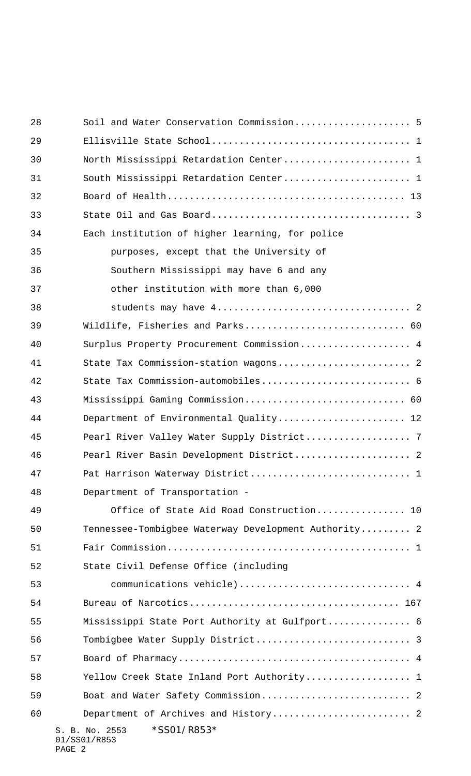| 28 | Soil and Water Conservation Commission 5                |
|----|---------------------------------------------------------|
| 29 |                                                         |
| 30 | North Mississippi Retardation Center 1                  |
| 31 | South Mississippi Retardation Center 1                  |
| 32 |                                                         |
| 33 |                                                         |
| 34 | Each institution of higher learning, for police         |
| 35 | purposes, except that the University of                 |
| 36 | Southern Mississippi may have 6 and any                 |
| 37 | other institution with more than 6,000                  |
| 38 |                                                         |
| 39 | Wildlife, Fisheries and Parks 60                        |
| 40 | Surplus Property Procurement Commission 4               |
| 41 | State Tax Commission-station wagons 2                   |
| 42 | State Tax Commission-automobiles 6                      |
| 43 | Mississippi Gaming Commission 60                        |
| 44 | Department of Environmental Quality 12                  |
| 45 |                                                         |
| 46 | Pearl River Basin Development District 2                |
| 47 | Pat Harrison Waterway District 1                        |
| 48 | Department of Transportation -                          |
| 49 | Office of State Aid Road Construction 10                |
| 50 | Tennessee-Tombigbee Waterway Development Authority 2    |
| 51 |                                                         |
| 52 | State Civil Defense Office (including                   |
| 53 | communications vehicle) 4                               |
| 54 |                                                         |
| 55 | Mississippi State Port Authority at Gulfport 6          |
| 56 |                                                         |
| 57 |                                                         |
| 58 | Yellow Creek State Inland Port Authority 1              |
| 59 |                                                         |
| 60 | Department of Archives and History 2                    |
|    | *SS01/R853*<br>S. B. No. 2553<br>01/SS01/R853<br>PAGE 2 |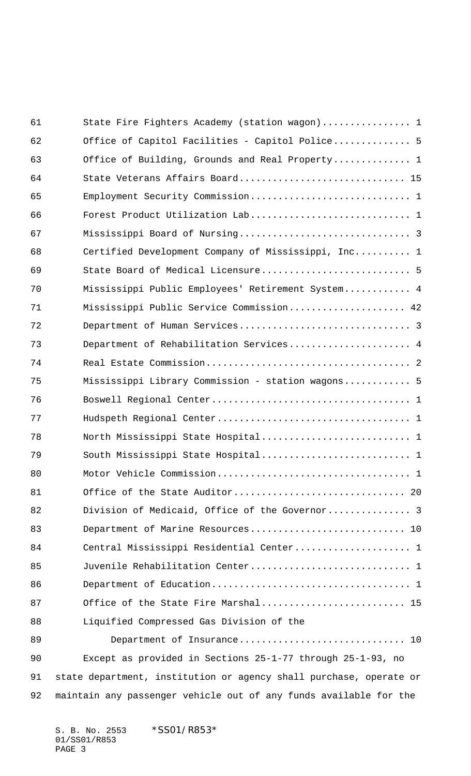| 61 | State Fire Fighters Academy (station wagon) 1                      |
|----|--------------------------------------------------------------------|
| 62 | Office of Capitol Facilities - Capitol Police 5                    |
| 63 | Office of Building, Grounds and Real Property 1                    |
| 64 | State Veterans Affairs Board 15                                    |
| 65 |                                                                    |
| 66 |                                                                    |
| 67 |                                                                    |
| 68 | Certified Development Company of Mississippi, Inc 1                |
| 69 | State Board of Medical Licensure 5                                 |
| 70 | Mississippi Public Employees' Retirement System 4                  |
| 71 | Mississippi Public Service Commission 42                           |
| 72 |                                                                    |
| 73 | Department of Rehabilitation Services 4                            |
| 74 |                                                                    |
| 75 | Mississippi Library Commission - station wagons 5                  |
| 76 |                                                                    |
| 77 |                                                                    |
| 78 |                                                                    |
| 79 |                                                                    |
| 80 |                                                                    |
| 81 |                                                                    |
| 82 | Division of Medicaid, Office of the Governor 3                     |
| 83 | Department of Marine Resources 10                                  |
| 84 | Central Mississippi Residential Center 1                           |
| 85 | Juvenile Rehabilitation Center 1                                   |
| 86 |                                                                    |
| 87 | Office of the State Fire Marshal 15                                |
| 88 | Liquified Compressed Gas Division of the                           |
| 89 | Department of Insurance 10                                         |
| 90 | Except as provided in Sections 25-1-77 through 25-1-93, no         |
| 91 | state department, institution or agency shall purchase, operate or |
| 92 | maintain any passenger vehicle out of any funds available for the  |

S. B. No. 2553 \*SS01/R853\* 01/SS01/R853 PAGE 3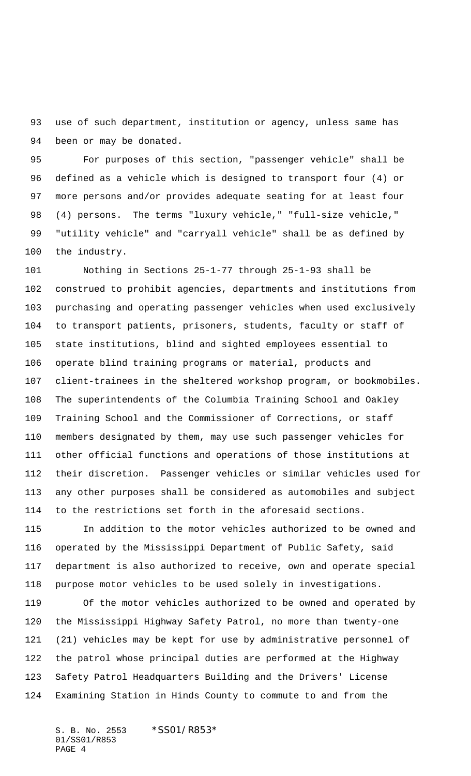use of such department, institution or agency, unless same has been or may be donated.

 For purposes of this section, "passenger vehicle" shall be defined as a vehicle which is designed to transport four (4) or more persons and/or provides adequate seating for at least four (4) persons. The terms "luxury vehicle," "full-size vehicle," "utility vehicle" and "carryall vehicle" shall be as defined by the industry.

 Nothing in Sections 25-1-77 through 25-1-93 shall be construed to prohibit agencies, departments and institutions from purchasing and operating passenger vehicles when used exclusively to transport patients, prisoners, students, faculty or staff of state institutions, blind and sighted employees essential to operate blind training programs or material, products and client-trainees in the sheltered workshop program, or bookmobiles. The superintendents of the Columbia Training School and Oakley Training School and the Commissioner of Corrections, or staff members designated by them, may use such passenger vehicles for other official functions and operations of those institutions at their discretion. Passenger vehicles or similar vehicles used for any other purposes shall be considered as automobiles and subject to the restrictions set forth in the aforesaid sections.

 In addition to the motor vehicles authorized to be owned and operated by the Mississippi Department of Public Safety, said department is also authorized to receive, own and operate special purpose motor vehicles to be used solely in investigations.

 Of the motor vehicles authorized to be owned and operated by the Mississippi Highway Safety Patrol, no more than twenty-one (21) vehicles may be kept for use by administrative personnel of the patrol whose principal duties are performed at the Highway Safety Patrol Headquarters Building and the Drivers' License Examining Station in Hinds County to commute to and from the

S. B. No. 2553 \*SS01/R853\* 01/SS01/R853 PAGE 4